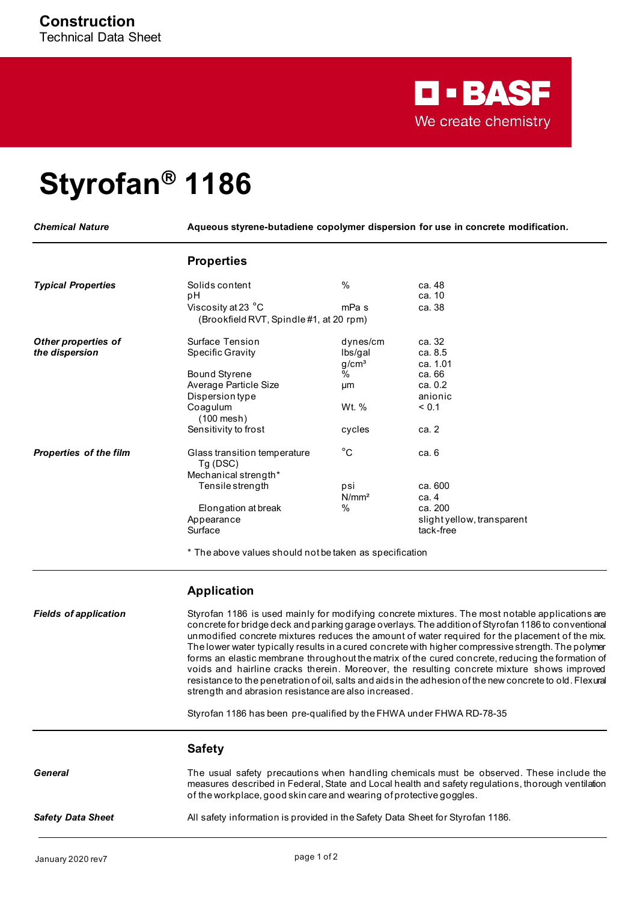

## **Styrofan 1186**

*Chemical Nature* **Aqueous styrene-butadiene copolymer dispersion for use in concrete modification.**

## **Properties**

| <b>Typical Properties</b>     | Solids content<br>рH                    | $\%$              | ca. 48<br>ca. 10           |
|-------------------------------|-----------------------------------------|-------------------|----------------------------|
|                               | Viscosity at 23 °C                      | mPa s             | ca. 38                     |
|                               | (Brookfield RVT, Spindle #1, at 20 rpm) |                   |                            |
| Other properties of           | Surface Tension                         | dynes/cm          | ca. 32                     |
| the dispersion                | <b>Specific Gravity</b>                 | Ibs/gal           | ca. 8.5                    |
|                               |                                         | g/cm <sup>3</sup> | ca. 1.01                   |
|                               | <b>Bound Styrene</b>                    | $\%$              | ca. 66                     |
|                               | Average Particle Size                   | μm                | ca. 0.2                    |
|                               | <b>Dispersion type</b>                  |                   | anionic                    |
|                               | Coagulum<br>$(100$ mesh)                | Wt. %             | < 0.1                      |
|                               | Sensitivity to frost                    | cycles            | ca. 2                      |
| <b>Properties of the film</b> | Glass transition temperature<br>Tg(DSC) | $^{\circ}$ C      | ca. 6                      |
|                               | Mechanical strength*                    |                   |                            |
|                               | Tensile strength                        | psi               | ca. 600                    |
|                               |                                         | N/mm <sup>2</sup> | ca. 4                      |
|                               | Elongation at break                     | %                 | ca. 200                    |
|                               | Appearance                              |                   | slight yellow, transparent |
|                               | Surface                                 |                   | tack-free                  |
|                               |                                         |                   |                            |

\* The above values should not be taken as specification

## **Application**

*Fields of application* Styrofan 1186 is used mainly for modifying concrete mixtures. The most notable applications are concrete for bridge deck and parking garage overlays. The addition of Styrofan 1186 to conventional unmodified concrete mixtures reduces the amount of water required for the placement of the mix. The lower water typically results in a cured concrete with higher compressive strength. The polymer forms an elastic membrane throughout the matrix of the cured concrete, reducing the formation of voids and hairline cracks therein. Moreover, the resulting concrete mixture shows improved resistance to the penetration of oil, salts and aids in the adhesion of the new concrete to old. Flexural strength and abrasion resistance are also increased.

Styrofan 1186 has been pre-qualified by the FHWA under FHWA RD-78-35

|                          | <b>Safety</b>                                                                                                                                                                                                                                                         |
|--------------------------|-----------------------------------------------------------------------------------------------------------------------------------------------------------------------------------------------------------------------------------------------------------------------|
| General                  | The usual safety precautions when handling chemicals must be observed. These include the<br>measures described in Federal, State and Local health and safety regulations, thorough ventilation<br>of the workplace, good skin care and wearing of protective googles. |
| <b>Safety Data Sheet</b> | All safety information is provided in the Safety Data Sheet for Styrofan 1186.                                                                                                                                                                                        |